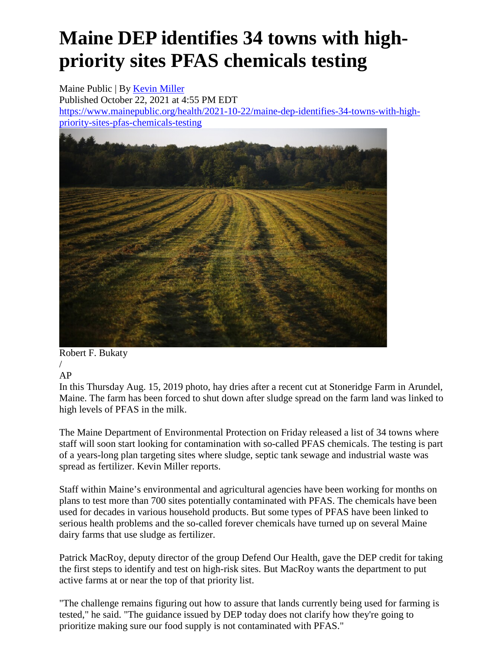## **Maine DEP identifies 34 towns with highpriority sites PFAS chemicals testing**

Maine Public | By [Kevin Miller](https://www.mainepublic.org/people/kevin-miller) Published October 22, 2021 at 4:55 PM EDT [https://www.mainepublic.org/health/2021-10-22/maine-dep-identifies-34-towns-with-high](https://www.mainepublic.org/health/2021-10-22/maine-dep-identifies-34-towns-with-high-priority-sites-pfas-chemicals-testing)[priority-sites-pfas-chemicals-testing](https://www.mainepublic.org/health/2021-10-22/maine-dep-identifies-34-towns-with-high-priority-sites-pfas-chemicals-testing)



Robert F. Bukaty

/ AP

In this Thursday Aug. 15, 2019 photo, hay dries after a recent cut at Stoneridge Farm in Arundel, Maine. The farm has been forced to shut down after sludge spread on the farm land was linked to high levels of PFAS in the milk.

The Maine Department of Environmental Protection on Friday released a list of 34 towns where staff will soon start looking for contamination with so-called PFAS chemicals. The testing is part of a years-long plan targeting sites where sludge, septic tank sewage and industrial waste was spread as fertilizer. Kevin Miller reports.

Staff within Maine's environmental and agricultural agencies have been working for months on plans to test more than 700 sites potentially contaminated with PFAS. The chemicals have been used for decades in various household products. But some types of PFAS have been linked to serious health problems and the so-called forever chemicals have turned up on several Maine dairy farms that use sludge as fertilizer.

Patrick MacRoy, deputy director of the group Defend Our Health, gave the DEP credit for taking the first steps to identify and test on high-risk sites. But MacRoy wants the department to put active farms at or near the top of that priority list.

"The challenge remains figuring out how to assure that lands currently being used for farming is tested," he said. "The guidance issued by DEP today does not clarify how they're going to prioritize making sure our food supply is not contaminated with PFAS."